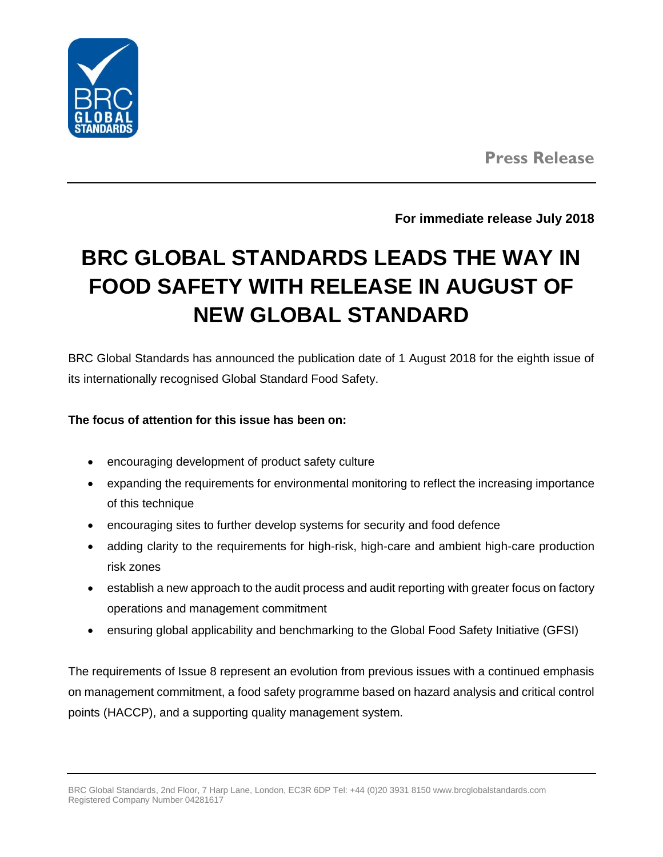

**For immediate release July 2018**

# **BRC GLOBAL STANDARDS LEADS THE WAY IN FOOD SAFETY WITH RELEASE IN AUGUST OF NEW GLOBAL STANDARD**

BRC Global Standards has announced the publication date of 1 August 2018 for the eighth issue of its internationally recognised Global Standard Food Safety.

#### **The focus of attention for this issue has been on:**

- encouraging development of product safety culture
- expanding the requirements for environmental monitoring to reflect the increasing importance of this technique
- encouraging sites to further develop systems for security and food defence
- adding clarity to the requirements for high-risk, high-care and ambient high-care production risk zones
- establish a new approach to the audit process and audit reporting with greater focus on factory operations and management commitment
- ensuring global applicability and benchmarking to the Global Food Safety Initiative (GFSI)

The requirements of Issue 8 represent an evolution from previous issues with a continued emphasis on management commitment, a food safety programme based on hazard analysis and critical control points (HACCP), and a supporting quality management system.